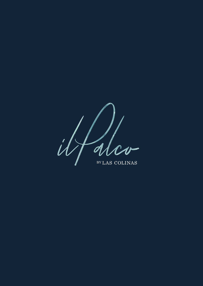BY LAS COLINAS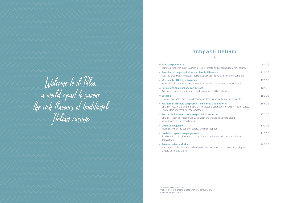| Pane con pomodoro<br>Tomato bread, garlic, extra virgin olive oil, tomato and oregano. Ideal for sharing.                                                                               | $9,00 \in$ |
|-----------------------------------------------------------------------------------------------------------------------------------------------------------------------------------------|------------|
| Bruschetta con pomodori e stracciatella di burrata<br>Toasted bread with tomatoes, burrata stracciatella and a sprinkle of fresh basil.                                                 | 11,00€     |
| Mortadella di Bologna tartufata<br>Mortadella Bologna with freshly cut black truffle. Careful it's very addictive!                                                                      | 12,50€     |
| Parmigiana di melanzane con burrata<br>Aubergine, mozzarella, tomato, basil, parmesan and burrata slices.                                                                               | 13,50€     |
| <b>Bresaola</b><br>Slices of bresaola, rocket salad, parmesan, lemon and sicilian pistachio pesto.                                                                                      | 15,00€     |
| Mozzarella di bufala con prosciutto di Parma e pomodorini<br>250 g of mozzarella de bufala PDO -Protected Designation of Origin-, rocket salad,<br>Parma Ham and fresh cherry tomatoes. | 19,80€     |
| Burrata italiana con carciofo e pomodori confittati<br>250 g of italian burrata served with warm artichoke and tomato confit,<br>served with grissini breadsticks.                      | 17,50€     |
| <b>Cozze alla pugliese</b><br>Mussels with garlic, tomato, parsley and chilli pepper.                                                                                                   | 10,00€     |
| Insalata di aguacate e gorgonzola<br>Fresh endive salad, lettuce, pears, accompanied by avocado, gorgonzola cream<br>and walnuts.                                                       | 11,50€     |
| Tavolozza classica italiana<br>Handmade italian sausage and cheese board, a tour of the gastronomic delights                                                                            | 24,00€     |

**☆ Tavolozza classica italiana** 

Handmade italian sausage and cheese board, a tour of Italy, perfect to share.

**Insalata di aguacate e gorgonzola** 11,50 €

Welcome to il Palco,<br>a world apart to savour<br>the rich flavours of traditional<br>Italian cuisine

# Antipasti Italiani

### $\diamond$  Pane con pomodoro Tomato bread, garlic, extra virgin olive oil, tomato an

- **♦ Bruschetta con pomodori e stracciatella di burrat** Toasted bread with tomatoes, burrata stracciatella a
- **Mortadella di Bologna tartufata** 12,50 € Mortadella Bologna with freshly cut black truffle. Ca
- **♦ Parmigiana di melanzane con burrata** Aubergine, mozzarella, tomato, basil, parmesan and bur
- Slices of bresaola, rocket salad, parmesan, lemon and
- **♦ Mozzarella di bufala con prosciutto di Parma e po** 250 g of mozzarella de bufala PDO -Protected Desig Parma Ham and fresh cherry tomatoes.
- **♦ Burrata italiana con carciofo e pomodori confitta**  $250$  g of italian burrata served with warm artichoke served with grissini breadsticks.
- **⊘ Cozze alla pugliese**

Take away service available. We have a list of allergens available for your consultation. Prices with VAT included.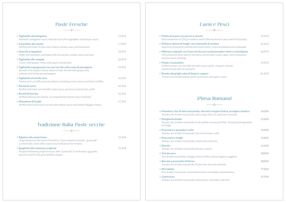| $\diamond$ Tagliatelle alla bolognese<br>Authentic bolognese sauce, minced meat with vegetables and tomato sauce.                                                                             | 13,00€ |
|-----------------------------------------------------------------------------------------------------------------------------------------------------------------------------------------------|--------|
| $\diamond$ Cannelloni alla rossini<br>Stuffed with beef, ricotta-style cheese, tomato sauce and bechamel.                                                                                     | 17,00€ |
| $\diamond$ Gnocchi al tegamino<br>Made with potatoes and baked with mozzarella, tomato sauce and basil.                                                                                       | 14,00€ |
| $\diamond$ Tagliatelle alle vongole<br>Clams, chilli pepper, white wine, garlic and parsley.                                                                                                  | 22,00€ |
| $\diamond$ Tagliatelle al gorgonzola con noci servite nella ruota di parmigiano<br>Served in the largest cheese wheel in Italy. Served with gorgonzola,<br>walnuts and freshly ground pepper. | 19,00€ |
| $\diamond$ Tagliatelle al tartufo nero<br>Flavoured in a truffle pecorino wheel containing cream cheese and black truffles.                                                                   | 16,50€ |
| $\Diamond$ Ravioli di carne<br>Stuffed with beef, served with cream sauce, parmesan and tomato confit.                                                                                        | 16,50€ |
| $\Diamond$ Ravioli di burrata<br>Stuffed with burrata cheese, accompanied by tomato sauce and basil.                                                                                          | 16,50€ |
| $\diamond$ Mezzelune di funghi<br>Stuffed with mushrooms served with walnut sauce and melted taleggio cheese.                                                                                 | 17,50€ |

# Paste Fresche

### Tradizione Italia Paste secche



**♦ Prosciutto e pomodori confit** 

**⊘ Prosciutto e funghi** 

Prepared following original recipe, with "guanciale" (cured meat), egg yolks, pecorino and freshly ground black pepper.

# Carni e Pesci

 $\Diamond$  **Filetto di manzo con porcini e tartufo** Beef tenderloin of 220 g in boletus and truffle mushr

- $\diamond$  Pollanca ripiena di funghi, con ratatouille di verdu Supreme of poularde stuffed with mushrooms, crean
- $\diamond$  Milanese originale con l'osso servita con rucola po 350 g Asturian Rose Veal on the bone, served with ro and parmesan shavings.
- $\diamond$  **Polipo a la pizzaiola** Grilled octopus, served with pizzaiola sauce, garlic, or toasted bread with oil and garlic.
- **Rombo alla griglia salsa di limoni e capperi** 26 ,00 € Turbot, served with potato purée and lemon and cap

# ¡Pinsa Romana!

- $\diamond$  Pomodoro, fior di latte mozzarella, olio extra vergi Tomato, fior di latte mozzarella, extra virgin olive oil,
- **♦ Margherita bufala**

| Pomodoro, fior di latte mozzarella, olio extra vergine d'oliva, acciughe e basilico<br>Tomato, fior di latte mozzarella, extra virgin olive oil, anchovies and basil. | 14,00€ |
|-----------------------------------------------------------------------------------------------------------------------------------------------------------------------|--------|
| Margherita bufala<br>Tomato, fior di latte mozzarella, fresh buffalo mozzarella PDO -Protected Designation<br>of Origin-.                                             | 15,00€ |
| Prosciutto e pomodori confit<br>Tomato, fior di latte mozzarella, ham and tomato confit.                                                                              | 14,00€ |
| Prosciutto e funghi<br>Tomato, fior di latte mozzarella, mushrooms and ham.                                                                                           | 15,00€ |
| <b>Diavola</b><br>Tomato, fior di latte mozzarella and spicy salami.                                                                                                  | 15,50€ |
| <b>Tartufo nero</b><br>Fior di latte mozzarella, taleggio, black truffles and parmigiano reggiano.                                                                    | 18,00€ |
| <b>Burrata e prosciutto di Parma</b><br>Tomato, fior di latte mozzarella, Parma ham, burrata and basil.                                                               | 18,00€ |
| <b>Mortadella</b><br>Fior di latte mozzarella, caramelized onion, mortadella and pistachios.                                                                          | 17,00€ |
| <b>Capricciosa</b><br>Tomato, fior di latte mozzarella, mushrooms, artichokes and ham.                                                                                | 15,50€ |

- $\diamond$  Tartufo nero Fior di latte mozzarella, taleggio, black truffles and pa
- $\diamond$  **Burrata e prosciutto di Parma**

### **√** Mortadella

 $\diamond$  Capricciosa

Tomato, fior di latte mozzarella, mushrooms, artichol

| room sauce with fried potato.                               | 24.50€ |
|-------------------------------------------------------------|--------|
| ıre<br>m of potatoes and ratatouille.                       | 22,50€ |
| omodori cherry e parmigiano<br>ocket salad, cherry tomatoes | 28,50€ |
| pregano, tomato,                                            | 24,00€ |
| pers sauce.                                                 | 26,00€ |
|                                                             |        |